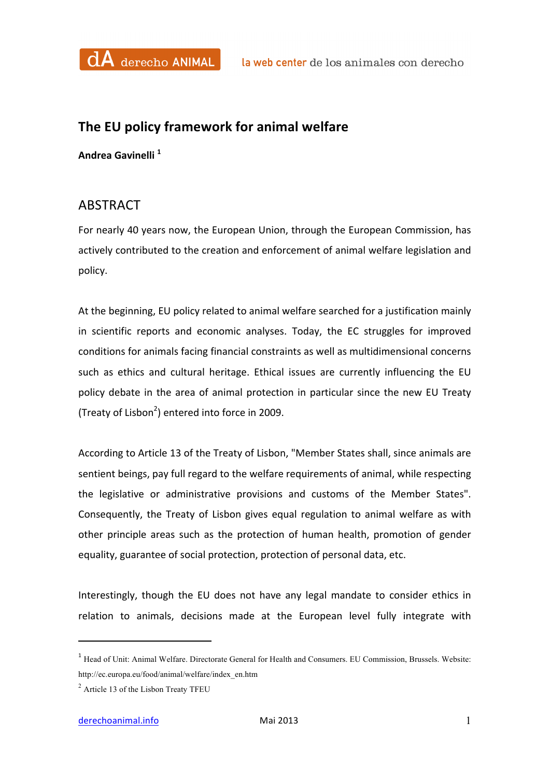

## The EU policy framework for animal welfare

**Andrea Gavinelli <sup>1</sup>**

## ABSTRACT

For nearly 40 years now, the European Union, through the European Commission, has actively contributed to the creation and enforcement of animal welfare legislation and policy.

At the beginning, EU policy related to animal welfare searched for a justification mainly in scientific reports and economic analyses. Today, the EC struggles for improved conditions for animals facing financial constraints as well as multidimensional concerns such as ethics and cultural heritage. Ethical issues are currently influencing the EU policy debate in the area of animal protection in particular since the new EU Treaty (Treaty of Lisbon<sup>2</sup>) entered into force in 2009.

According to Article 13 of the Treaty of Lisbon, "Member States shall, since animals are sentient beings, pay full regard to the welfare requirements of animal, while respecting the legislative or administrative provisions and customs of the Member States". Consequently, the Treaty of Lisbon gives equal regulation to animal welfare as with other principle areas such as the protection of human health, promotion of gender equality, guarantee of social protection, protection of personal data, etc.

Interestingly, though the EU does not have any legal mandate to consider ethics in relation to animals, decisions made at the European level fully integrate with

 

<sup>&</sup>lt;sup>1</sup> Head of Unit: Animal Welfare. Directorate General for Health and Consumers. EU Commission, Brussels. Website: http://ec.europa.eu/food/animal/welfare/index\_en.htm

<sup>2</sup> Article 13 of the Lisbon Treaty TFEU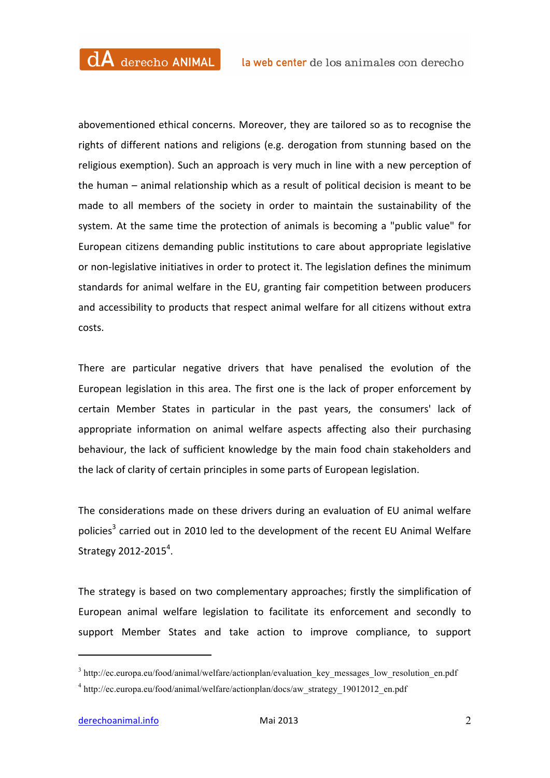abovementioned ethical concerns. Moreover, they are tailored so as to recognise the rights of different nations and religions (e.g. derogation from stunning based on the religious exemption). Such an approach is very much in line with a new perception of the human  $-$  animal relationship which as a result of political decision is meant to be made to all members of the society in order to maintain the sustainability of the system. At the same time the protection of animals is becoming a "public value" for European citizens demanding public institutions to care about appropriate legislative or non-legislative initiatives in order to protect it. The legislation defines the minimum standards for animal welfare in the EU, granting fair competition between producers and accessibility to products that respect animal welfare for all citizens without extra costs.

There are particular negative drivers that have penalised the evolution of the European legislation in this area. The first one is the lack of proper enforcement by certain Member States in particular in the past years, the consumers' lack of appropriate information on animal welfare aspects affecting also their purchasing behaviour, the lack of sufficient knowledge by the main food chain stakeholders and the lack of clarity of certain principles in some parts of European legislation.

The considerations made on these drivers during an evaluation of EU animal welfare policies<sup>3</sup> carried out in 2010 led to the development of the recent EU Animal Welfare Strategy 2012-2015 $4$ .

The strategy is based on two complementary approaches; firstly the simplification of European animal welfare legislation to facilitate its enforcement and secondly to support Member States and take action to improve compliance, to support

 

<sup>&</sup>lt;sup>3</sup> http://ec.europa.eu/food/animal/welfare/actionplan/evaluation key messages low resolution en.pdf

<sup>&</sup>lt;sup>4</sup> http://ec.europa.eu/food/animal/welfare/actionplan/docs/aw\_strategy\_19012012\_en.pdf